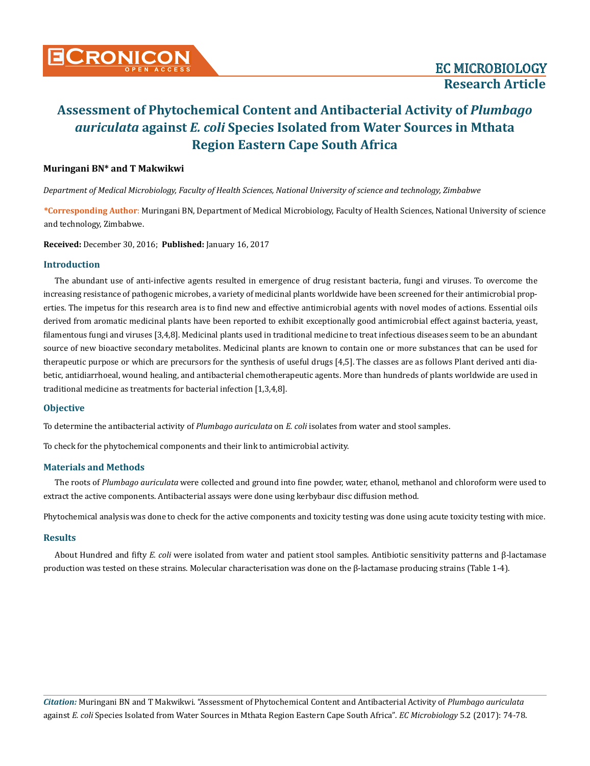## **Muringani BN\* and T Makwikwi**

*Department of Medical Microbiology, Faculty of Health Sciences, National University of science and technology, Zimbabwe*

**\*Corresponding Author**: Muringani BN, Department of Medical Microbiology, Faculty of Health Sciences, National University of science and technology, Zimbabwe.

**Received:** December 30, 2016; **Published:** January 16, 2017

## **Introduction**

The abundant use of anti-infective agents resulted in emergence of drug resistant bacteria, fungi and viruses. To overcome the increasing resistance of pathogenic microbes, a variety of medicinal plants worldwide have been screened for their antimicrobial properties. The impetus for this research area is to find new and effective antimicrobial agents with novel modes of actions. Essential oils derived from aromatic medicinal plants have been reported to exhibit exceptionally good antimicrobial effect against bacteria, yeast, filamentous fungi and viruses [3,4,8]. Medicinal plants used in traditional medicine to treat infectious diseases seem to be an abundant source of new bioactive secondary metabolites. Medicinal plants are known to contain one or more substances that can be used for therapeutic purpose or which are precursors for the synthesis of useful drugs [4,5]. The classes are as follows Plant derived anti diabetic, antidiarrhoeal, wound healing, and antibacterial chemotherapeutic agents. More than hundreds of plants worldwide are used in traditional medicine as treatments for bacterial infection [1,3,4,8].

## **Objective**

To determine the antibacterial activity of *Plumbago auriculata* on *E. coli* isolates from water and stool samples.

To check for the phytochemical components and their link to antimicrobial activity.

## **Materials and Methods**

The roots of *Plumbago auriculata* were collected and ground into fine powder, water, ethanol, methanol and chloroform were used to extract the active components. Antibacterial assays were done using kerbybaur disc diffusion method.

Phytochemical analysis was done to check for the active components and toxicity testing was done using acute toxicity testing with mice.

## **Results**

About Hundred and fifty *E. coli* were isolated from water and patient stool samples. Antibiotic sensitivity patterns and β-lactamase production was tested on these strains. Molecular characterisation was done on the β-lactamase producing strains (Table 1-4).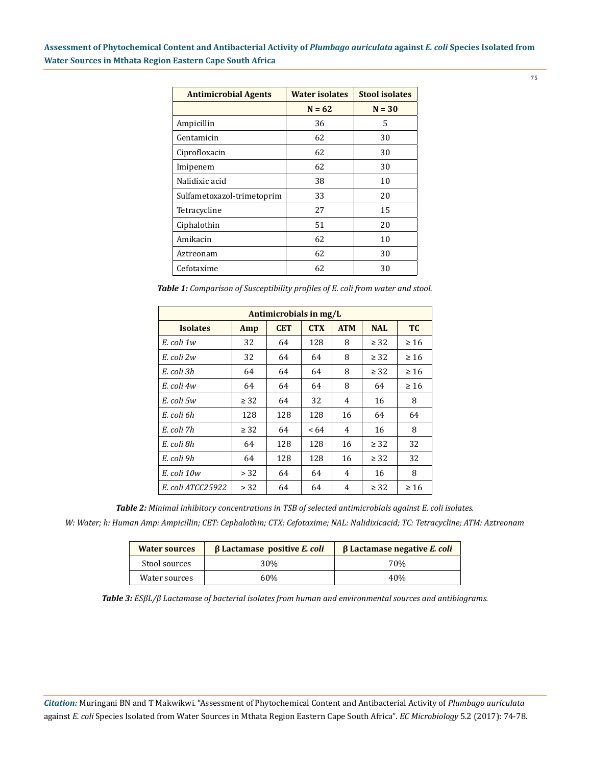| <b>Antimicrobial Agents</b> | <b>Water isolates</b> | <b>Stool isolates</b> |  |
|-----------------------------|-----------------------|-----------------------|--|
|                             | $N = 62$              | $N = 30$              |  |
| Ampicillin                  | 36                    | 5                     |  |
| Gentamicin                  | 62                    | 30                    |  |
| Ciprofloxacin               | 62                    | 30                    |  |
| Imipenem                    | 62                    | 30                    |  |
| Nalidixic acid              | 38                    | 10                    |  |
| Sulfametoxazol-trimetoprim  | 33                    | 20                    |  |
| Tetracycline                | 27                    | 15                    |  |
| Ciphalothin                 | 51                    | 20                    |  |
| Amikacin                    | 62                    | 10                    |  |
| Aztreonam                   | 62                    | 30                    |  |
| Cefotaxime                  | 62                    | 30                    |  |

*Table 1: Comparison of Susceptibility profiles of E. coli from water and stool.*

| Antimicrobials in mg/L |           |            |            |            |            |           |
|------------------------|-----------|------------|------------|------------|------------|-----------|
| <b>Isolates</b>        | Amp       | <b>CET</b> | <b>CTX</b> | <b>ATM</b> | <b>NAL</b> | <b>TC</b> |
| E. coli 1w             | 32        | 64         | 128        | 8          | $\geq$ 32  | $\geq 16$ |
| E. coli 2w             | 32        | 64         | 64         | 8          | $\geq$ 32  | $\geq 16$ |
| E. coli 3h             | 64        | 64         | 64         | 8          | $\geq$ 32  | $\geq 16$ |
| E. coli 4w             | 64        | 64         | 64         | 8          | 64         | $\geq 16$ |
| E. coli 5w             | $\geq$ 32 | 64         | 32         | 4          | 16         | 8         |
| E. coli 6h             | 128       | 128        | 128        | 16         | 64         | 64        |
| E. coli 7h             | $\geq$ 32 | 64         | <64        | 4          | 16         | 8         |
| E. coli 8h             | 64        | 128        | 128        | 16         | $\geq$ 32  | 32        |
| E. coli 9h             | 64        | 128        | 128        | 16         | $\geq$ 32  | 32        |
| E. coli 10w            | > 32      | 64         | 64         | 4          | 16         | 8         |
| E. coli ATCC25922      | > 32      | 64         | 64         | 4          | $\geq$ 32  | $\geq 16$ |

*Table 2: Minimal inhibitory concentrations in TSB of selected antimicrobials against E. coli isolates.*

*W: Water; h: Human Amp: Ampicillin; CET: Cephalothin; CTX: Cefotaxime; NAL: Nalidixicacid; TC: Tetracycline; ATM: Aztreonam*

| <b>Water sources</b> | $\beta$ Lactamase positive E. coli | $\beta$ Lactamase negative E. coli |
|----------------------|------------------------------------|------------------------------------|
| Stool sources        | 30%                                | 70%                                |
| Water sources        | 60%                                | 40%                                |

*Table 3: ESβL/β Lactamase of bacterial isolates from human and environmental sources and antibiograms.*

*Citation:* Muringani BN and T Makwikwi. "Assessment of Phytochemical Content and Antibacterial Activity of *Plumbago auriculata*  against *E. coli* Species Isolated from Water Sources in Mthata Region Eastern Cape South Africa". *EC Microbiology* 5.2 (2017): 74-78.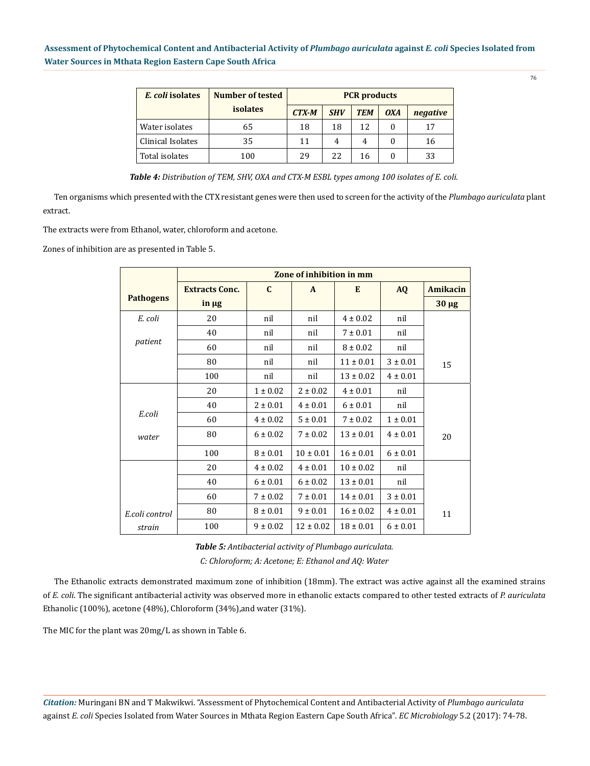| E. coli isolates  | Number of tested | <b>PCR</b> products |            |            |            |          |
|-------------------|------------------|---------------------|------------|------------|------------|----------|
|                   | <b>isolates</b>  | <b>CTX-M</b>        | <b>SHV</b> | <b>TEM</b> | <b>OXA</b> | negative |
| Water isolates    | 65               | 18                  | 18         | 12         |            | 17       |
| Clinical Isolates | 35               | 11                  | 4          | 4          |            | 16       |
| Total isolates    | 100              | 29                  | 22         | 16         |            | 33       |

*Table 4: Distribution of TEM, SHV, OXA and CTX-M ESBL types among 100 isolates of E. coli.*

Ten organisms which presented with the CTX resistant genes were then used to screen for the activity of the *Plumbago auriculata* plant extract.

The extracts were from Ethanol, water, chloroform and acetone.

Zones of inhibition are as presented in Table 5.

|                  | Zone of inhibition in mm |              |               |               |              |            |
|------------------|--------------------------|--------------|---------------|---------------|--------------|------------|
|                  | <b>Extracts Conc.</b>    | $\mathbf{C}$ | A             | E             | <b>AQ</b>    | Amikacin   |
| <b>Pathogens</b> | $\ln \mu$ g              |              |               |               |              | $30 \mu g$ |
| E. coli          | 20                       | nil          | nil           | $4 \pm 0.02$  | nil          |            |
|                  | 40                       | nil          | nil           | $7 \pm 0.01$  | nil          |            |
| patient          | 60                       | nil          | nil           | $8 \pm 0.02$  | nil          |            |
|                  | 80                       | nil          | nil           | $11 \pm 0.01$ | $3 \pm 0.01$ | 15         |
|                  | 100                      | nil          | nil           | $13 \pm 0.02$ | $4 \pm 0.01$ |            |
|                  | 20                       | $1 \pm 0.02$ | $2 \pm 0.02$  | $4 \pm 0.01$  | nil          |            |
|                  | 40                       | $2 \pm 0.01$ | $4 \pm 0.01$  | $6 \pm 0.01$  | nil          |            |
| E.coli           | 60                       | $4 \pm 0.02$ | $5 \pm 0.01$  | $7 \pm 0.02$  | $1 \pm 0.01$ |            |
| water            | 80                       | $6 \pm 0.02$ | $7 \pm 0.02$  | $13 \pm 0.01$ | $4 \pm 0.01$ | 20         |
|                  | 100                      | $8 \pm 0.01$ | $10 \pm 0.01$ | $16 \pm 0.01$ | $6 \pm 0.01$ |            |
|                  | 20                       | $4 \pm 0.02$ | $4 \pm 0.01$  | $10 \pm 0.02$ | nil          |            |
|                  | 40                       | $6 \pm 0.01$ | $6 \pm 0.02$  | $13 \pm 0.01$ | nil          |            |
|                  | 60                       | $7 \pm 0.02$ | $7 \pm 0.01$  | $14 \pm 0.01$ | $3 \pm 0.01$ |            |
| E.coli control   | 80                       | $8 \pm 0.01$ | $9 \pm 0.01$  | $16 \pm 0.02$ | $4 \pm 0.01$ | 11         |
| strain           | 100                      | $9 \pm 0.02$ | $12 \pm 0.02$ | $18 \pm 0.01$ | $6 \pm 0.01$ |            |

*C: Chloroform; A: Acetone; E: Ethanol and AQ: Water Table 5: Antibacterial activity of Plumbago auriculata.*

The Ethanolic extracts demonstrated maximum zone of inhibition (18mm). The extract was active against all the examined strains of *E. coli*. The significant antibacterial activity was observed more in ethanolic extacts compared to other tested extracts of *P. auriculata* Ethanolic (100%), acetone (48%), Chloroform (34%), and water (31%).

The MIC for the plant was 20mg/L as shown in Table 6.

*Citation:* Muringani BN and T Makwikwi. "Assessment of Phytochemical Content and Antibacterial Activity of *Plumbago auriculata*  against *E. coli* Species Isolated from Water Sources in Mthata Region Eastern Cape South Africa". *EC Microbiology* 5.2 (2017): 74-78.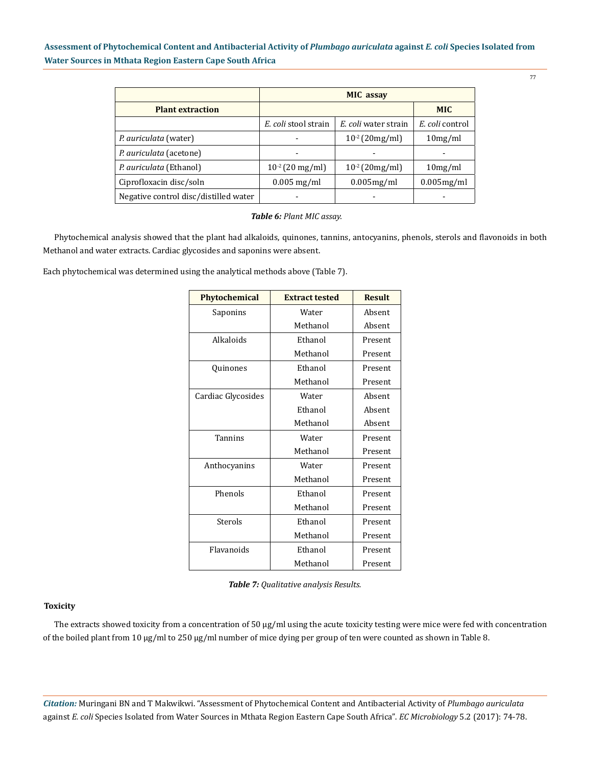|                                       | <b>MIC</b> assay     |                      |                 |  |
|---------------------------------------|----------------------|----------------------|-----------------|--|
| <b>Plant extraction</b>               | <b>MIC</b>           |                      |                 |  |
|                                       | E. coli stool strain | E. coli water strain | E. coli control |  |
| P. auriculata (water)                 |                      | $10^{-2}$ (20mg/ml)  | 10mg/ml         |  |
| P. auriculata (acetone)               |                      |                      |                 |  |
| P. auriculata (Ethanol)               | $10^{-2}$ (20 mg/ml) | $10^{-2}$ (20 mg/ml) | 10mg/ml         |  |
| Ciprofloxacin disc/soln               | $0.005$ mg/ml        | 0.005mg/ml           | 0.005mg/ml      |  |
| Negative control disc/distilled water |                      |                      |                 |  |

#### *Table 6: Plant MIC assay.*

Phytochemical analysis showed that the plant had alkaloids, quinones, tannins, antocyanins, phenols, sterols and flavonoids in both Methanol and water extracts. Cardiac glycosides and saponins were absent.

Each phytochemical was determined using the analytical methods above (Table 7).

| <b>Phytochemical</b> | <b>Extract tested</b> | <b>Result</b> |
|----------------------|-----------------------|---------------|
| Saponins             | Water                 | Absent        |
|                      | Methanol              | Absent        |
| Alkaloids            | Ethanol               | Present       |
|                      | Methanol              | Present       |
| Quinones             | Ethanol               | Present       |
|                      | Methanol              | Present       |
| Cardiac Glycosides   | Water                 | Absent        |
|                      | Ethanol               | Absent        |
|                      | Methanol              | Absent        |
| Tannins              | Water<br>Present      |               |
|                      | Methanol              | Present       |
| Anthocyanins         | Water<br>Present      |               |
|                      | Methanol              | Present       |
| Phenols              | Ethanol<br>Present    |               |
|                      | Methanol              | Present       |
| Sterols              | Ethanol<br>Present    |               |
|                      | Methanol              | Present       |
| Flavanoids           | Ethanol<br>Present    |               |
|                      | Methanol              | Present       |

*Table 7: Qualitative analysis Results.*

#### **Toxicity**

The extracts showed toxicity from a concentration of 50  $\mu$ g/ml using the acute toxicity testing were mice were fed with concentration of the boiled plant from 10 µg/ml to 250 µg/ml number of mice dying per group of ten were counted as shown in Table 8.

*Citation:* Muringani BN and T Makwikwi. "Assessment of Phytochemical Content and Antibacterial Activity of *Plumbago auriculata*  against *E. coli* Species Isolated from Water Sources in Mthata Region Eastern Cape South Africa". *EC Microbiology* 5.2 (2017): 74-78.